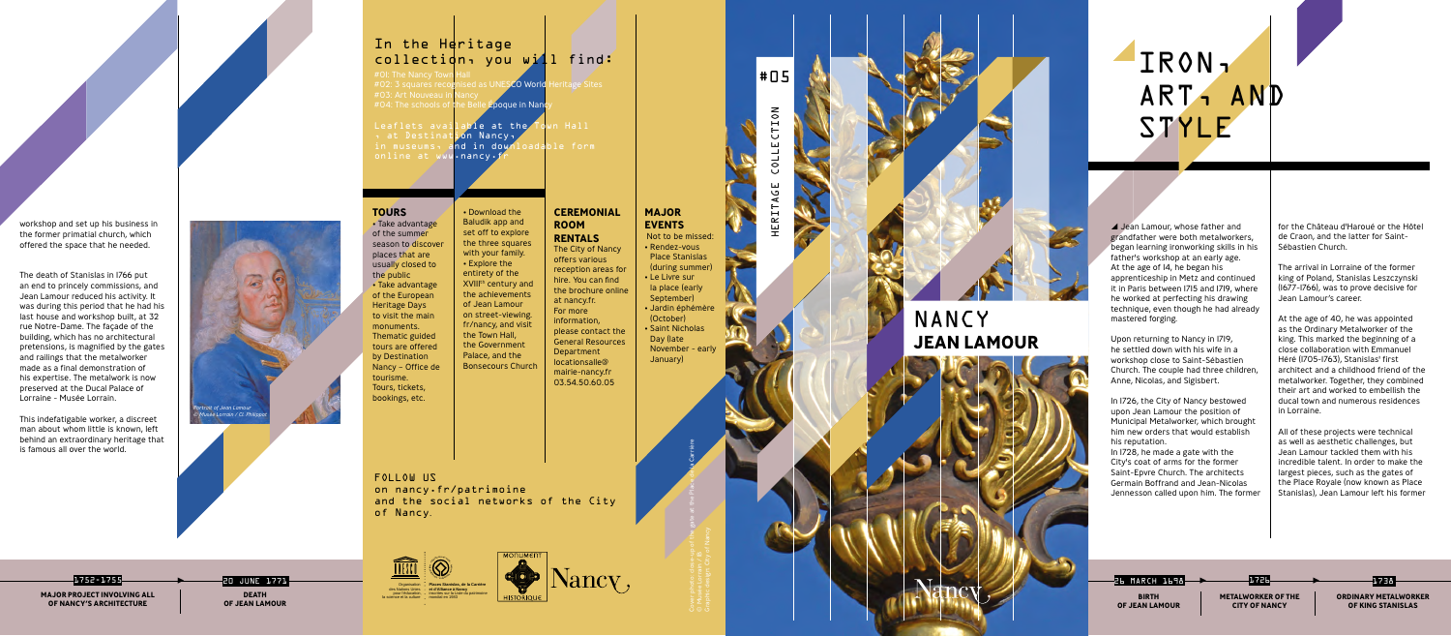A Jean Lamour, whose father and grandfather were both metalworkers, began learning ironworking skills in his father's workshop at an early age. At the age of 14, he began his apprenticeship in Metz and continued it in Paris between 1715 and 1719, where he worked at perfecting his drawing technique, even though he had already mastered forging.

Upon returning to Nancy in 1719, he settled down with his wife in a workshop close to Saint-Sébastien Church. The couple had three children, Anne, Nicolas, and Sigisbert.

In 1726, the City of Nancy bestowed upon Jean Lamour the position of Municipal Metalworker, which brought him new orders that would establish his reputation.

In 1728, he made a gate with the City's coat of arms for the former Saint-Epvre Church. The architects Germain Boffrand and Jean-Nicolas Jennesson called upon him. The former for the Château d'Haroué or the Hôtel de Craon, and the latter for Saint-Sébastien Church.

The arrival in Lorraine of the former king of Poland, Stanislas Leszczynski (1677-1766), was to prove decisive for Jean Lamour's career.

At the age of 40, he was appointed as the Ordinary Metalworker of the king. This marked the beginning of a close collaboration with Emmanuel Héré (1705-1763), Stanislas' first architect and a childhood friend of the metalworker. Together, they combined their art and worked to embellish the ducal town and numerous residences in Lorraine.

All of these projects were technical as well as aesthetic challenges, but Jean Lamour tackled them with his incredible talent. In order to make the largest pieces, such as the gates of the Place Royale (now known as Place Stanislas), Jean Lamour left his former

#### **TOURS**

• Take advantage of the summer season to discover places that are usually closed to the public • Take advantage of the European Heritage Days to visit the main monuments. Thematic guided tours are offered by Destination Nancy – Office de tourisme. Tours, tickets, bookings, etc.

# IRON<sub>1</sub> ART, AND STYLE

Leaflets available at the Town Hall n at Destinat<mark>ion Nancy,</mark><br>in museums, and in downl and in downloadable form online at www.nancy.f

> • Download the Baludik app and set off to explore the three squares with your family. • Explore the entirety of the XVIIIth century and the achievements of Jean Lamour on street-viewing. fr/nancy, and visit the Town Hall, the Government Palace, and the Bonsecours Church

**CEREMONIAL ROOM RENTALS** The City of Nancy offers various reception areas for hire. You can find the brochure online

at nancy.fr. For more information, please contact the General Resources Department locationsalle@ mairie-nancy.fr 03.54.50.60.05

### **MAJOR EVENTS** Not to be missed:

- Rendez-vous Place Stanislas (during summer) • Le Livre sur la place (early
- September) • Jardin éphémère (October)
- Saint Nicholas Day (late November - early January)

**BIRTH OF JEAN LAMOUR**

▶

▶

▶

HERITAGE COLLECTION

HERIT,

FOLLOW US on nancy.fr/patrimoine and the social networks of the City of Nancy .

Cover photo: close-up of the gate at the Place de la Carrière

© Musée Lorrain / IB

NANCY **JEAN LAMOUR**



**METALWORKER OF THE CITY OF NANCY**

**ORDINARY METALWORKER OF KING STANISLAS**

1752-1755 **MAJOR PROJECT INVOLVING ALL OF NANCY'S ARCHITECTURE**

20 JUNE 1771 **DEATH OF JEAN LAMOUR**

workshop and set up his business in the former primatial church, which offered the space that he needed.

The death of Stanislas in 1766 put an end to princely commissions, and Jean Lamour reduced his activity. It was during this period that he had his last house and workshop built, at 32 rue Notre-Dame. The façade of the building, which has no architectural pretensions, is magnified by the gates and railings that the metalworker made as a final demonstration of his expertise. The metalwork is now preserved at the Ducal Palace of Lorraine - Musée Lorrain.

This indefatigable worker, a discreet man about whom little is known, left behind an extraordinary heritage that is famous all over the world.

#05

**NOT**  $\overline{a}$ ίJ  $\overline{11}$ ات **LIO**  $\mathbf{L}$  $\overline{4}$ 



#0I: The Nancy Town<br>#02: 3 squares recog ised as UNESCO World Heritage Sites #03: Art Nouveau in Nancy #04: The schools of the Belle Epoque in Nand

*Portrait of Jean Lamour © Musée Lorrain / Cl. Philippot*







 **Places Stanislas, de la Carrière et d'Alliance à Nancy** inscrites sur la Liste du patrimoine mondial en 1983 Organisation des Nations Unies pour l'éducation, la science et la culture